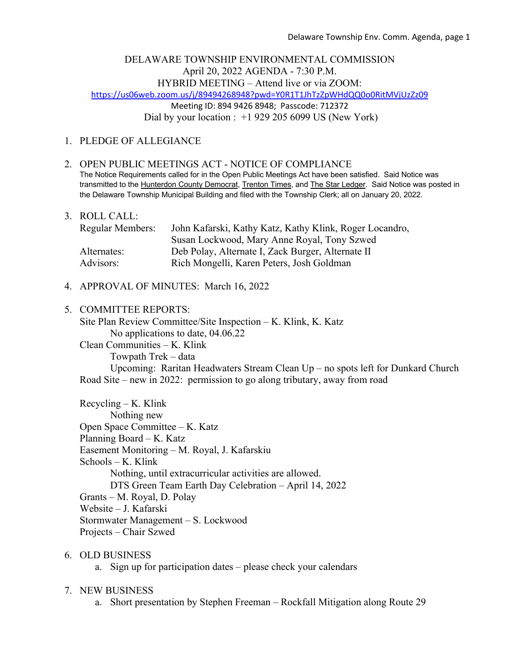## DELAWARE TOWNSHIP ENVIRONMENTAL COMMISSION April 20, 2022 AGENDA - 7:30 P.M. HYBRID MEETING – Attend live or via ZOOM: https://us06web.zoom.us/j/89494268948?pwd=Y0R1T1JhTzZpWHdQQ0o0RitMVjUzZz09 Meeting ID: 894 9426 8948; Passcode: 712372 Dial by your location :  $+1$  929 205 6099 US (New York)

# 1. PLEDGE OF ALLEGIANCE

- 2. OPEN PUBLIC MEETINGS ACT NOTICE OF COMPLIANCE The Notice Requirements called for in the Open Public Meetings Act have been satisfied. Said Notice was transmitted to the Hunterdon County Democrat, Trenton Times, and The Star Ledger. Said Notice was posted in the Delaware Township Municipal Building and filed with the Township Clerk; all on January 20, 2022.
- 3. ROLL CALL:

| <b>Regular Members:</b> | John Kafarski, Kathy Katz, Kathy Klink, Roger Locandro, |
|-------------------------|---------------------------------------------------------|
|                         | Susan Lockwood, Mary Anne Royal, Tony Szwed             |
| Alternates:             | Deb Polay, Alternate I, Zack Burger, Alternate II       |
| Advisors:               | Rich Mongelli, Karen Peters, Josh Goldman               |

- 4. APPROVAL OF MINUTES: March 16, 2022
- 5. COMMITTEE REPORTS:

Site Plan Review Committee/Site Inspection – K. Klink, K. Katz No applications to date, 04.06.22

Clean Communities – K. Klink Towpath Trek – data Upcoming: Raritan Headwaters Stream Clean Up – no spots left for Dunkard Church Road Site – new in 2022: permission to go along tributary, away from road

Recycling – K. Klink Nothing new Open Space Committee – K. Katz Planning Board – K. Katz Easement Monitoring – M. Royal, J. Kafarskiu Schools – K. Klink Nothing, until extracurricular activities are allowed. DTS Green Team Earth Day Celebration – April 14, 2022 Grants – M. Royal, D. Polay Website – J. Kafarski Stormwater Management – S. Lockwood Projects – Chair Szwed

## 6. OLD BUSINESS

a. Sign up for participation dates – please check your calendars

## 7. NEW BUSINESS

a. Short presentation by Stephen Freeman – Rockfall Mitigation along Route 29